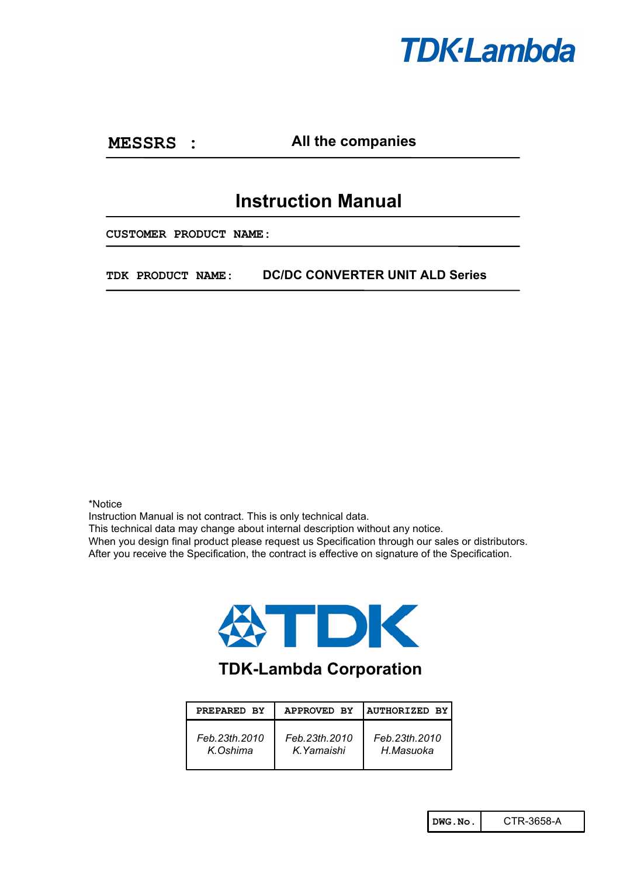

**MESSRS :**

**All the companies**

# **Instruction Manual**

**CUSTOMER PRODUCT NAME:**

**TDK PRODUCT NAME: DC/DC CONVERTER UNIT ALD Series**

\*Notice

Instruction Manual is not contract. This is only technical data.

This technical data may change about internal description without any notice.

When you design final product please request us Specification through our sales or distributors.

After you receive the Specification, the contract is effective on signature of the Specification.



# **TDK-Lambda Corporation**

| PREPARED BY   | <b>APPROVED BY</b> | <b>AUTHORIZED BY</b> |
|---------------|--------------------|----------------------|
| Feb.23th.2010 | Feb.23th.2010      | Feb.23th.2010        |
| K Oshima      | K. Yamaishi        | H.Masuoka            |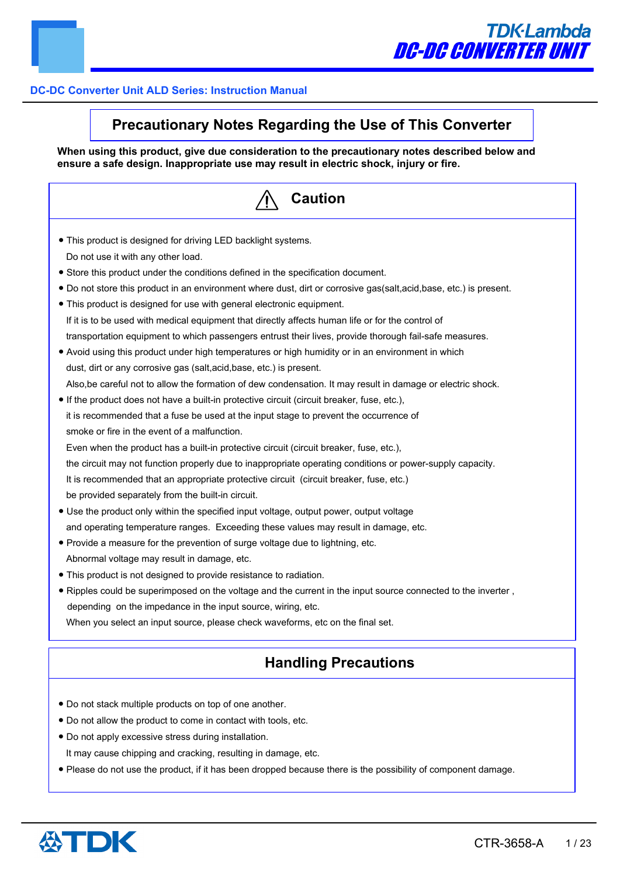

# **Precautionary Notes Regarding the Use of This Converter**

**When using this product, give due consideration to the precautionary notes described below and ensure a safe design. Inappropriate use may result in electric shock, injury or fire.**

| Caution                                                                                                                   |
|---------------------------------------------------------------------------------------------------------------------------|
| • This product is designed for driving LED backlight systems.                                                             |
| Do not use it with any other load.                                                                                        |
| • Store this product under the conditions defined in the specification document.                                          |
| • Do not store this product in an environment where dust, dirt or corrosive gas(salt,acid,base, etc.) is present.         |
| • This product is designed for use with general electronic equipment.                                                     |
| If it is to be used with medical equipment that directly affects human life or for the control of                         |
| transportation equipment to which passengers entrust their lives, provide thorough fail-safe measures.                    |
| • Avoid using this product under high temperatures or high humidity or in an environment in which                         |
| dust, dirt or any corrosive gas (salt, acid, base, etc.) is present.                                                      |
| Also, be careful not to allow the formation of dew condensation. It may result in damage or electric shock.               |
| • If the product does not have a built-in protective circuit (circuit breaker, fuse, etc.),                               |
| it is recommended that a fuse be used at the input stage to prevent the occurrence of                                     |
| smoke or fire in the event of a malfunction.                                                                              |
| Even when the product has a built-in protective circuit (circuit breaker, fuse, etc.),                                    |
| the circuit may not function properly due to inappropriate operating conditions or power-supply capacity.                 |
| It is recommended that an appropriate protective circuit (circuit breaker, fuse, etc.)                                    |
| be provided separately from the built-in circuit.                                                                         |
| • Use the product only within the specified input voltage, output power, output voltage                                   |
| and operating temperature ranges. Exceeding these values may result in damage, etc.                                       |
| • Provide a measure for the prevention of surge voltage due to lightning, etc.                                            |
| Abnormal voltage may result in damage, etc.                                                                               |
| • This product is not designed to provide resistance to radiation.                                                        |
| . Ripples could be superimposed on the voltage and the current in the input source connected to the inverter ,            |
| depending on the impedance in the input source, wiring, etc.                                                              |
| When you select an input source, please check waveforms, etc on the final set.                                            |
| <b>Handling Precautions</b>                                                                                               |
|                                                                                                                           |
| . Do not stack multiple products on top of one another.<br>. Do not allow the product to come in contact with tools, etc. |

● Do not apply excessive stress during installation.

It may cause chipping and cracking, resulting in damage, etc.

● Please do not use the product, if it has been dropped because there is the possibility of component damage.

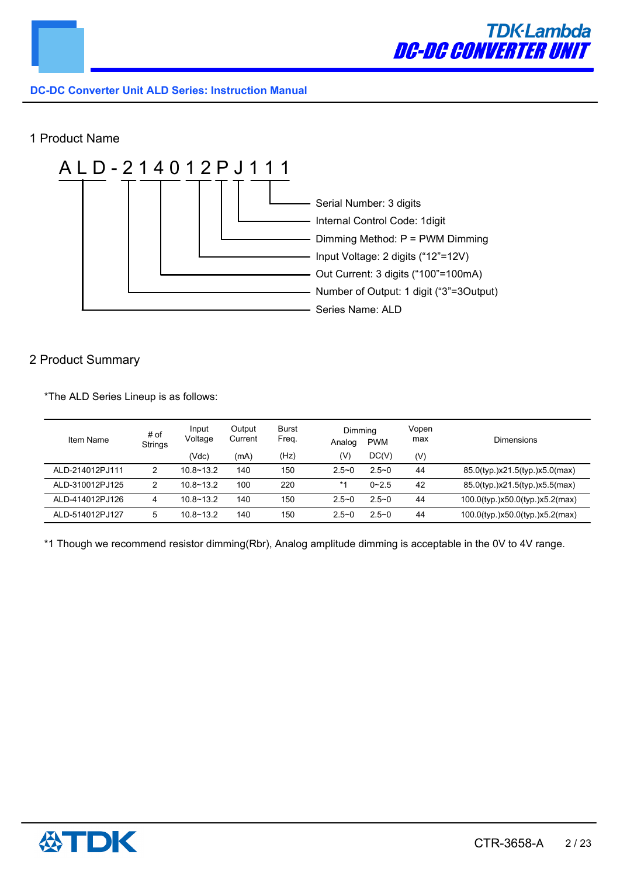

# 1 Product Name



# 2 Product Summary

\*The ALD Series Lineup is as follows:

| Item Name       | # of<br><b>Strings</b> | Input<br>Voltage | Output<br>Current | Burst<br>Freq. | Dimming<br>Analog | <b>PWM</b> | Vopen<br>max | Dimensions                      |
|-----------------|------------------------|------------------|-------------------|----------------|-------------------|------------|--------------|---------------------------------|
|                 |                        | (Vdc)            | (mA)              | (Hz)           | (V)               | DC(V)      | (V)          |                                 |
| ALD-214012PJ111 |                        | $10.8 - 13.2$    | 140               | 150            | $2.5 - 0$         | $2.5 - 0$  | 44           | 85.0(typ.)x21.5(typ.)x5.0(max)  |
| ALD-310012PJ125 |                        | $10.8 - 13.2$    | 100               | 220            | $*1$              | $0 - 2.5$  | 42           | 85.0(typ.)x21.5(typ.)x5.5(max)  |
| ALD-414012PJ126 | 4                      | $10.8 - 13.2$    | 140               | 150            | $2.5 - 0$         | $2.5 - 0$  | 44           | 100.0(typ.)x50.0(typ.)x5.2(max) |
| ALD-514012PJ127 | 5                      | $10.8 - 13.2$    | 140               | 150            | $2.5 - 0$         | $2.5 - 0$  | 44           | 100.0(typ.)x50.0(typ.)x5.2(max) |

\*1 Though we recommend resistor dimming(Rbr), Analog amplitude dimming is acceptable in the 0V to 4V range.

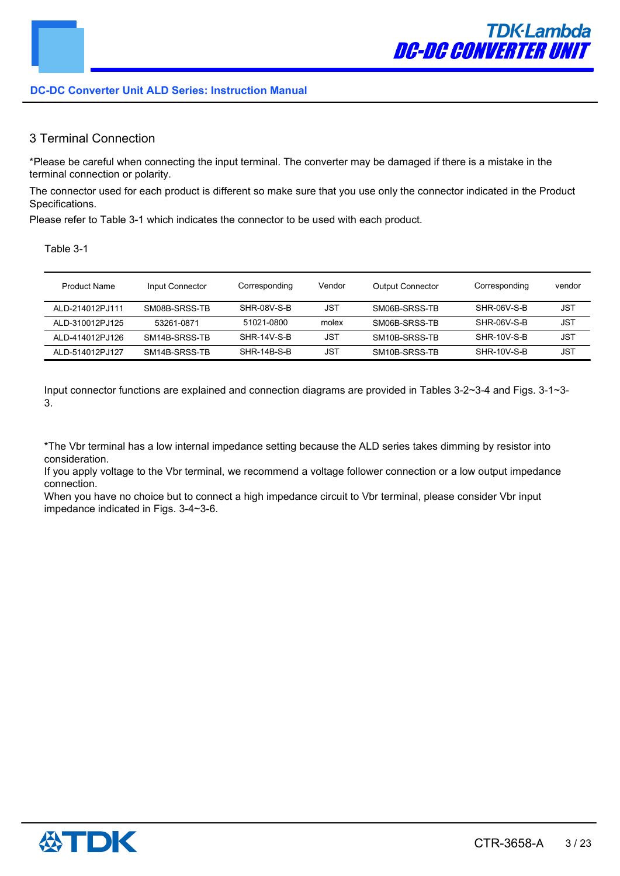# 3 Terminal Connection

\*Please be careful when connecting the input terminal. The converter may be damaged if there is a mistake in the terminal connection or polarity.

The connector used for each product is different so make sure that you use only the connector indicated in the Product Specifications.

Please refer to Table 3-1 which indicates the connector to be used with each product.

Table 3-1

| <b>Product Name</b> | Input Connector | Corresponding | Vendor     | <b>Output Connector</b> | Corresponding | vendor     |
|---------------------|-----------------|---------------|------------|-------------------------|---------------|------------|
| ALD-214012PJ111     | SM08B-SRSS-TB   | SHR-08V-S-B   | JST        | SM06B-SRSS-TB           | SHR-06V-S-B   | <b>JST</b> |
| ALD-310012PJ125     | 53261-0871      | 51021-0800    | molex      | SM06B-SRSS-TB           | SHR-06V-S-B   | JST        |
| ALD-414012PJ126     | SM14B-SRSS-TB   | $SHR-14V-S-B$ | <b>JST</b> | SM10B-SRSS-TB           | SHR-10V-S-B   | <b>JST</b> |
| ALD-514012PJ127     | SM14B-SRSS-TB   | SHR-14B-S-B   | JST        | SM10B-SRSS-TB           | SHR-10V-S-B   | JST        |

Input connector functions are explained and connection diagrams are provided in Tables 3-2~3-4 and Figs. 3-1~3- 3.

\*The Vbr terminal has a low internal impedance setting because the ALD series takes dimming by resistor into consideration.

If you apply voltage to the Vbr terminal, we recommend a voltage follower connection or a low output impedance connection.

When you have no choice but to connect a high impedance circuit to Vbr terminal, please consider Vbr input impedance indicated in Figs. 3-4~3-6.

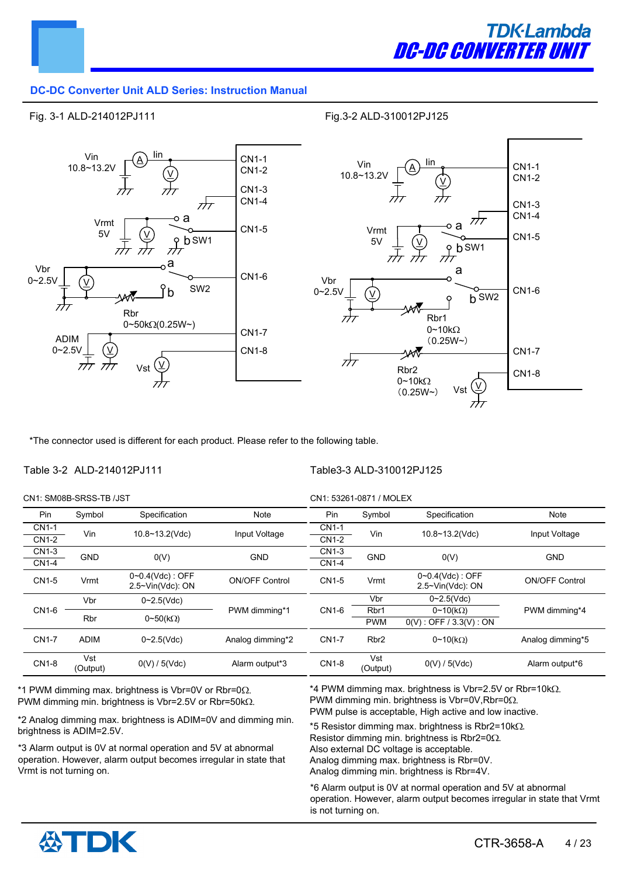

#### Fig. 3-1 ALD-214012PJ111

Fig.3-2 ALD-310012PJ125



\*The connector used is different for each product. Please refer to the following table.

#### Table 3-2 ALD-214012PJ111

Table3-3 ALD-310012PJ125

| CN1: SM08B-SRSS-TB /JST |                 |                                           |                       |              | CN1: 53261-0871 / MOLEX |                                           |                       |      |
|-------------------------|-----------------|-------------------------------------------|-----------------------|--------------|-------------------------|-------------------------------------------|-----------------------|------|
| Pin                     | Symbol          | Specification                             | <b>Note</b>           | Pin.         | Symbol                  | Specification                             | Note                  |      |
| <b>CN1-1</b>            | Vin             | 10.8~13.2(Vdc)                            |                       | <b>CN1-1</b> | Vin                     | 10.8~13.2(Vdc)                            | Input Voltage         |      |
| <b>CN1-2</b>            |                 |                                           | Input Voltage         | CN1-2        |                         |                                           |                       |      |
| CN1-3                   | <b>GND</b>      |                                           | <b>GND</b>            | CN1-3        | <b>GND</b>              | O(V)                                      | <b>GND</b>            |      |
| <b>CN1-4</b>            |                 | O(V)                                      |                       | <b>CN1-4</b> |                         |                                           |                       |      |
| CN1-5                   | Vrmt            | $0 - 0.4$ (Vdc) : OFF<br>2.5~Vin(Vdc): ON | <b>ON/OFF Control</b> | CN1-5        | Vrmt                    | $0 - 0.4$ (Vdc) : OFF<br>2.5~Vin(Vdc): ON | <b>ON/OFF Control</b> |      |
|                         | Vbr             | $0 - 2.5$ (Vdc)                           | PWM dimming*1         |              |                         | Vbr                                       | $0 - 2.5$ (Vdc)       |      |
| CN1-6                   |                 |                                           |                       |              |                         |                                           | CN1-6                 | Rbr1 |
|                         | <b>Rbr</b>      | $0 \sim 50$ (kΩ)                          |                       |              | <b>PWM</b>              | $0(V)$ : OFF / 3.3(V): ON                 |                       |      |
| <b>CN1-7</b>            | <b>ADIM</b>     | $0 - 2.5$ (Vdc)                           | Analog dimming*2      | <b>CN1-7</b> | Rbr <sub>2</sub>        | $0 \sim 10(k\Omega)$                      | Analog dimming*5      |      |
| <b>CN1-8</b>            | Vst<br>(Output) | 0(V)/5(Vdc)                               | Alarm output*3        | <b>CN1-8</b> | Vst<br>(Output)         | 0(V)/5(Vdc)                               | Alarm output*6        |      |

\*1 PWM dimming max. brightness is Vbr=0V or Rbr=0 $\Omega$ . PWM dimming min. brightness is Vbr=2.5V or Rbr=50k $\Omega$ .

\*2 Analog dimming max. brightness is ADIM=0V and dimming min. brightness is ADIM=2.5V.

\*3 Alarm output is 0V at normal operation and 5V at abnormal operation. However, alarm output becomes irregular in state that Vrmt is not turning on.

\*4 PWM dimming max. brightness is Vbr=2.5V or Rbr=10k $\Omega$ . PWM dimming min. brightness is Vbr=0V, Rbr=0 $\Omega$ . PWM pulse is acceptable, High active and low inactive.

\*5 Resistor dimming max. brightness is Rbr2=10k $\Omega$ . Resistor dimming min. brightness is Rbr2=0 $\Omega$ . Also external DC voltage is acceptable. Analog dimming max. brightness is Rbr=0V. Analog dimming min. brightness is Rbr=4V.

\*6 Alarm output is 0V at normal operation and 5V at abnormal operation. However, alarm output becomes irregular in state that Vrmt is not turning on.

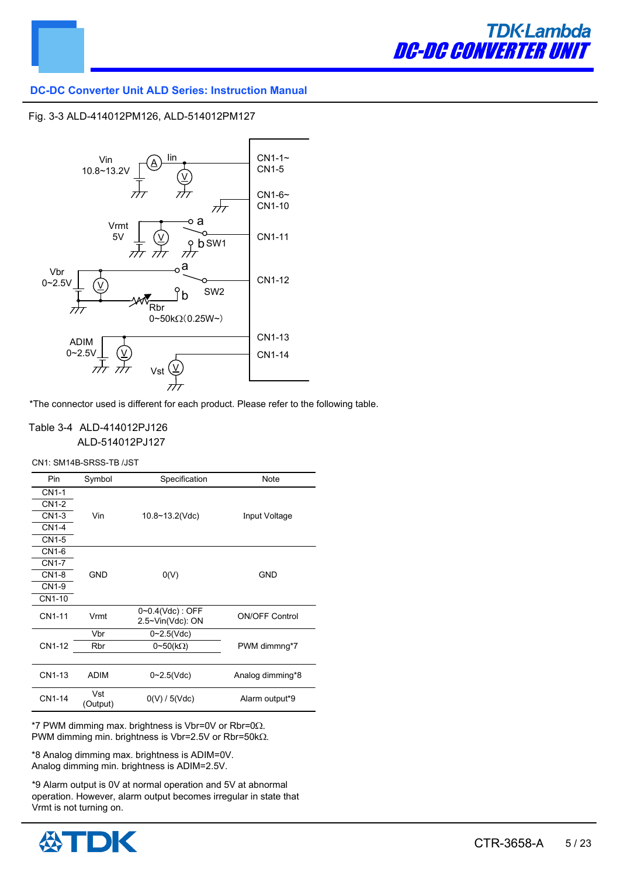



#### Fig. 3-3 ALD-414012PM126, ALD-514012PM127



\*The connector used is different for each product. Please refer to the following table.

#### Table 3-4 ALD-414012PJ126 ALD-514012PJ127

CN1: SM14B-SRSS-TB /JST

| Pin          | Symbol          | Specification                             | <b>Note</b>           |
|--------------|-----------------|-------------------------------------------|-----------------------|
| CN1-1        |                 |                                           |                       |
| CN1-2        |                 |                                           |                       |
| CN1-3        | Vin             | 10.8~13.2(Vdc)                            | Input Voltage         |
| CN1-4        |                 |                                           |                       |
| <b>CN1-5</b> |                 |                                           |                       |
| CN1-6        |                 |                                           |                       |
| <b>CN1-7</b> |                 |                                           |                       |
| CN1-8        | <b>GND</b>      | O(V)                                      | <b>GND</b>            |
| CN1-9        |                 |                                           |                       |
| CN1-10       |                 |                                           |                       |
| CN1-11       | Vrmt            | $0 - 0.4$ (Vdc) : OFF<br>2.5~Vin(Vdc): ON | <b>ON/OFF Control</b> |
|              | Vbr             | $0 - 2.5$ (Vdc)                           |                       |
| CN1-12       | Rbr             | $0 \sim 50$ (kΩ)                          | PWM dimmng*7          |
|              |                 |                                           |                       |
| CN1-13       | <b>ADIM</b>     | $0 - 2.5$ (Vdc)                           | Analog dimming*8      |
| CN1-14       | Vst<br>(Output) | 0(V)/5(Vdc)                               | Alarm output*9        |

 $*7$  PWM dimming max. brightness is Vbr=0V or Rbr=0 $\Omega$ . PWM dimming min. brightness is Vbr=2.5V or Rbr=50k $\Omega$ .

\*8 Analog dimming max. brightness is ADIM=0V. Analog dimming min. brightness is ADIM=2.5V.

\*9 Alarm output is 0V at normal operation and 5V at abnormal operation. However, alarm output becomes irregular in state that Vrmt is not turning on.

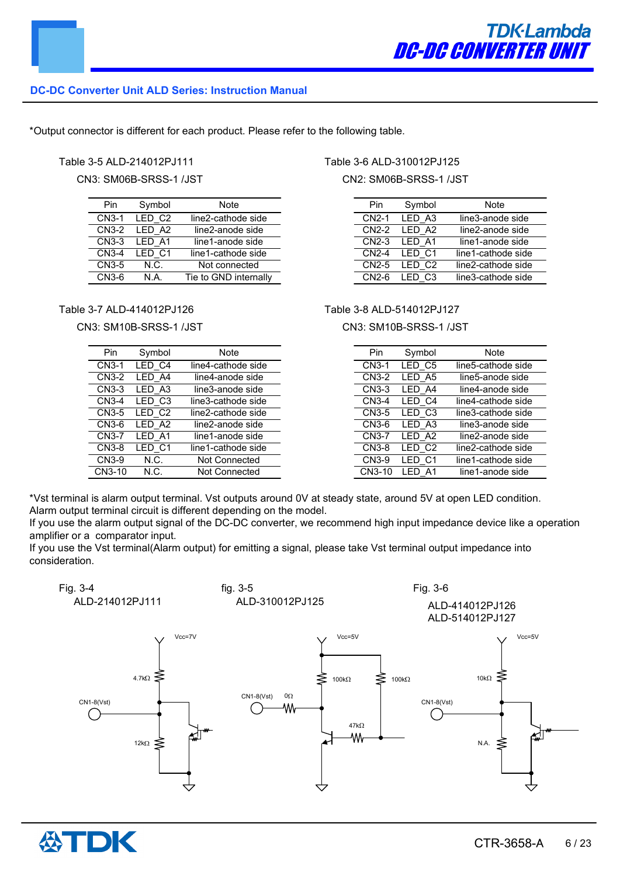\*Output connector is different for each product. Please refer to the following table.

#### Table 3-5 ALD-214012PJ111

CN3: SM06B-SRSS-1 /JST

| Pin   | Symbol             | Note                  |
|-------|--------------------|-----------------------|
| CN3-1 | LED C <sub>2</sub> | line2-cathode side    |
| CN3-2 | LED A2             | line2-anode side      |
| CN3-3 | LED A1             | line1-anode side      |
| CN3-4 | LED C1             | line1-cathode side    |
| CN3-5 | N.C.               | Not connected         |
| CN3-6 | N A                | Tie to GND internally |

#### Table 3-7 ALD-414012PJ126

#### CN3: SM10B-SRSS-1 /JST

| Pin          | Symbol | Note                 |
|--------------|--------|----------------------|
| $CN3-1$      | LED C4 | line4-cathode side   |
| CN3-2        | LED A4 | line4-anode side     |
| CN3-3        | LED A3 | line3-anode side     |
| $CN3-4$      | LED C3 | line3-cathode side   |
| <b>CN3-5</b> | LED C2 | line2-cathode side   |
| CN3-6        | LED A2 | line2-anode side     |
| <b>CN3-7</b> | LED A1 | line1-anode side     |
| CN3-8        | LED C1 | line1-cathode side   |
| CN3-9        | N.C.   | <b>Not Connected</b> |
| CN3-10       | N.C.   | <b>Not Connected</b> |

#### Table 3-6 ALD-310012PJ125

CN2: SM06B-SRSS-1 /JST

| Pin                | Symbol         | Note               |
|--------------------|----------------|--------------------|
| <b>CN2-1</b>       | LED A3         | line3-anode side   |
| CN2-2              | IFD A2         | line2-anode side   |
| CN2-3              | LED A1         | line1-anode side   |
| $CN2-4$            | LED C1         | line1-cathode side |
| CN <sub>2</sub> -5 | IFD C2         | line2-cathode side |
| $CN2-6$            | C <sub>3</sub> | line3-cathode side |

#### Table 3-8 ALD-514012PJ127

#### CN3: SM10B-SRSS-1 /JST

| Pin                | Symbol             | Note               |
|--------------------|--------------------|--------------------|
| CN <sub>3</sub> -1 | LED C5             | line5-cathode side |
| <b>CN3-2</b>       | LED A5             | line5-anode side   |
| CN3-3              | LED A4             | line4-anode side   |
| CN3-4              | LED C4             | line4-cathode side |
| CN3-5              | LED C <sub>3</sub> | line3-cathode side |
| CN3-6              | LED A3             | line3-anode side   |
| <b>CN3-7</b>       | LED A2             | line2-anode side   |
| <b>CN3-8</b>       | LED C2             | line2-cathode side |
| CN3-9              | LED C1             | line1-cathode side |
| CN3-10             | LED A1             | line1-anode side   |

\*Vst terminal is alarm output terminal. Vst outputs around 0V at steady state, around 5V at open LED condition. Alarm output terminal circuit is different depending on the model.

If you use the alarm output signal of the DC-DC converter, we recommend high input impedance device like a operation amplifier or a comparator input.

If you use the Vst terminal(Alarm output) for emitting a signal, please take Vst terminal output impedance into consideration.



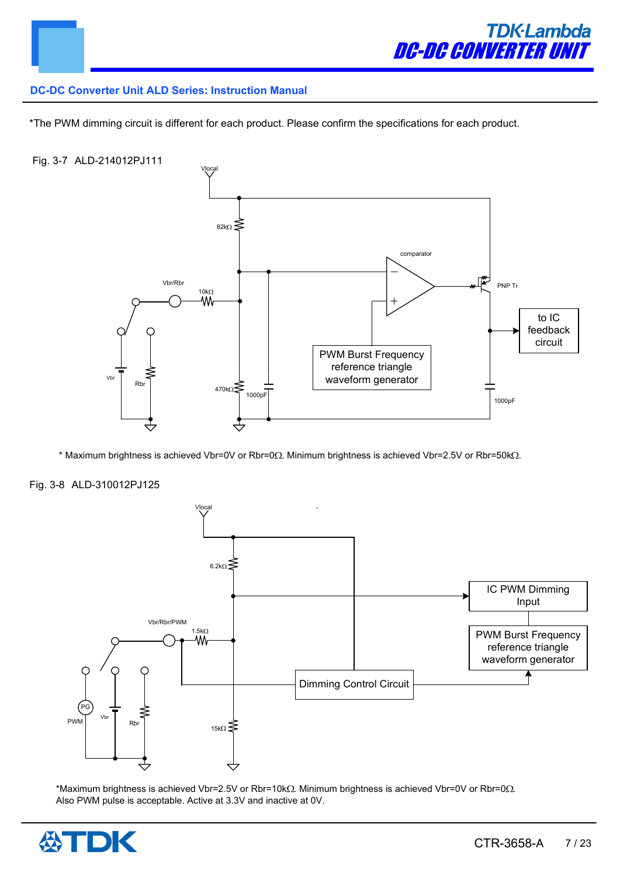

\*The PWM dimming circuit is different for each product. Please confirm the specifications for each product.

#### Fig. 3-7 ALD-214012PJ111



 $*$  Maximum brightness is achieved Vbr=0V or Rbr=0 $\Omega$ . Minimum brightness is achieved Vbr=2.5V or Rbr=50k $\Omega$ .

#### Fig. 3-8 ALD-310012PJ125



\*Maximum brightness is achieved Vbr=2.5V or Rbr=10k $\Omega$ . Minimum brightness is achieved Vbr=0V or Rbr=0 $\Omega$ . Also PWM pulse is acceptable. Active at 3.3V and inactive at 0V.

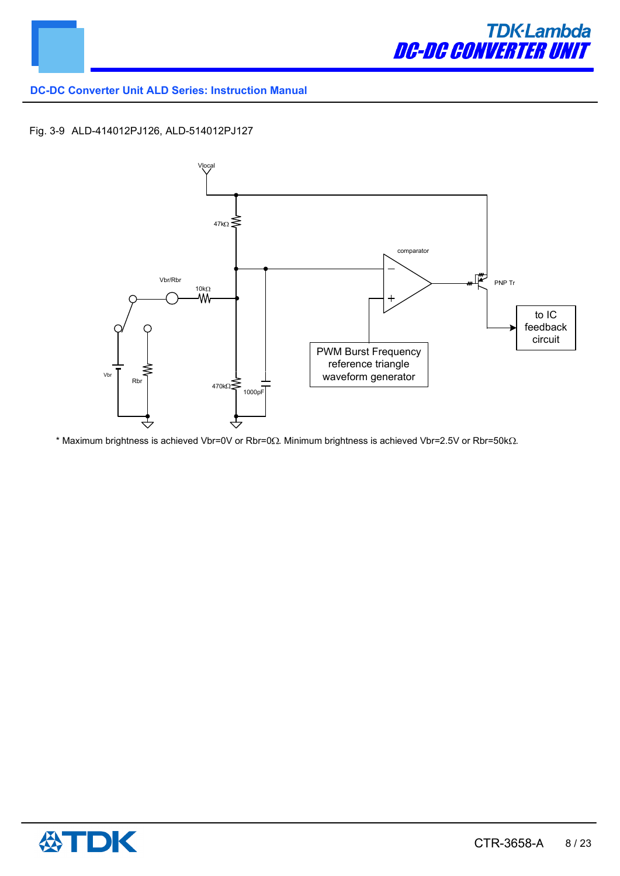

### Fig. 3-9 ALD-414012PJ126, ALD-514012PJ127



\* Maximum brightness is achieved Vbr=0V or Rbr=0 $\Omega$ . Minimum brightness is achieved Vbr=2.5V or Rbr=50k $\Omega$ .

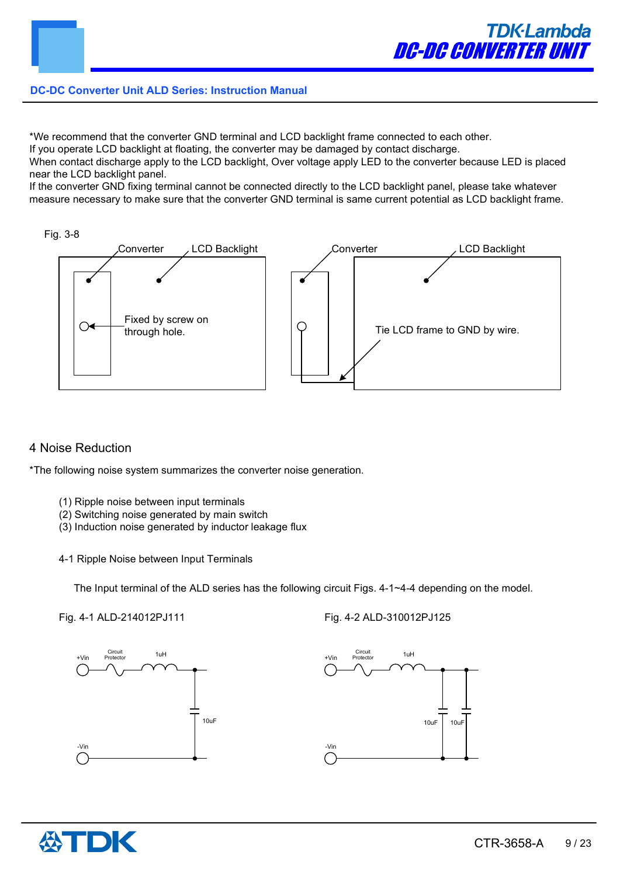

\*We recommend that the converter GND terminal and LCD backlight frame connected to each other.

If you operate LCD backlight at floating, the converter may be damaged by contact discharge.

When contact discharge apply to the LCD backlight, Over voltage apply LED to the converter because LED is placed near the LCD backlight panel.

If the converter GND fixing terminal cannot be connected directly to the LCD backlight panel, please take whatever measure necessary to make sure that the converter GND terminal is same current potential as LCD backlight frame.





# 4 Noise Reduction

\*The following noise system summarizes the converter noise generation.

- (1) Ripple noise between input terminals
- (2) Switching noise generated by main switch
- (3) Induction noise generated by inductor leakage flux
- 4-1 Ripple Noise between Input Terminals

The Input terminal of the ALD series has the following circuit Figs. 4-1~4-4 depending on the model.

Fig. 4-1 ALD-214012PJ111







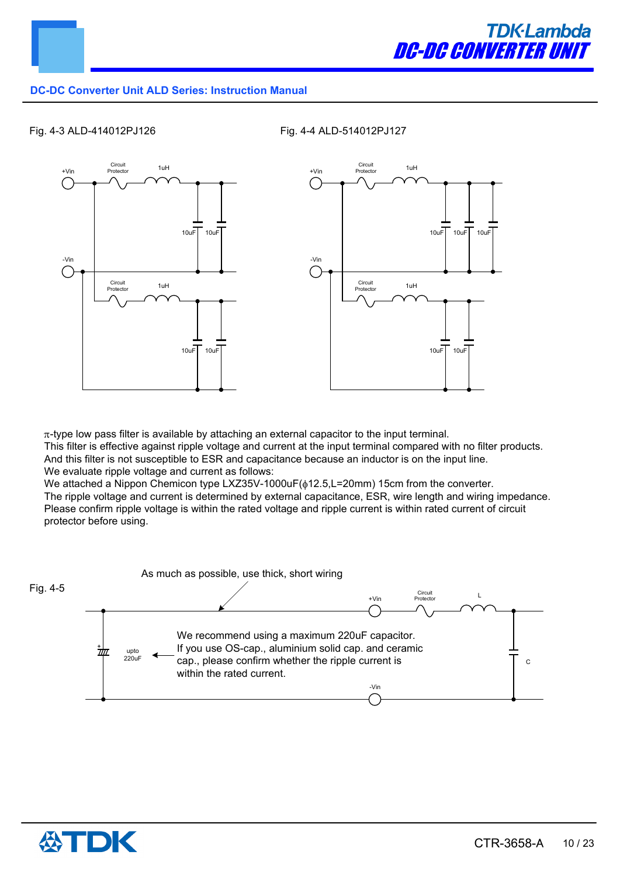

#### Fig. 4-3 ALD-414012PJ126 Fig. 4-4 ALD-514012PJ127



 $\pi$ -type low pass filter is available by attaching an external capacitor to the input terminal.

This filter is effective against ripple voltage and current at the input terminal compared with no filter products. And this filter is not susceptible to ESR and capacitance because an inductor is on the input line. We evaluate ripple voltage and current as follows:

We attached a Nippon Chemicon type LXZ35V-1000uF( $\phi$ 12.5,L=20mm) 15cm from the converter. The ripple voltage and current is determined by external capacitance, ESR, wire length and wiring impedance. Please confirm ripple voltage is within the rated voltage and ripple current is within rated current of circuit protector before using.



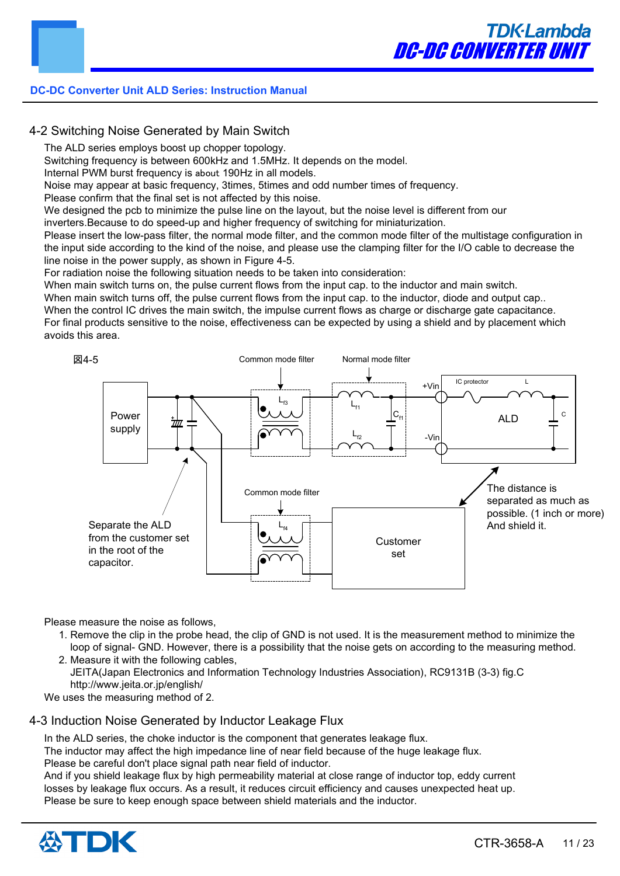# 4-2 Switching Noise Generated by Main Switch

The ALD series employs boost up chopper topology.

Switching frequency is between 600kHz and 1.5MHz. It depends on the model.

Internal PWM burst frequency is about 190Hz in all models.

Noise may appear at basic frequency, 3times, 5times and odd number times of frequency.

Please confirm that the final set is not affected by this noise.

We designed the pcb to minimize the pulse line on the layout, but the noise level is different from our

inverters.Because to do speed-up and higher frequency of switching for miniaturization.

Please insert the low-pass filter, the normal mode filter, and the common mode filter of the multistage configuration in the input side according to the kind of the noise, and please use the clamping filter for the I/O cable to decrease the line noise in the power supply, as shown in Figure 4-5.

For radiation noise the following situation needs to be taken into consideration:

When main switch turns on, the pulse current flows from the input cap. to the inductor and main switch.

When main switch turns off, the pulse current flows from the input cap, to the inductor, diode and output cap.. When the control IC drives the main switch, the impulse current flows as charge or discharge gate capacitance.

For final products sensitive to the noise, effectiveness can be expected by using a shield and by placement which avoids this area.



Please measure the noise as follows,

 1. Remove the clip in the probe head, the clip of GND is not used. It is the measurement method to minimize the loop of signal- GND. However, there is a possibility that the noise gets on according to the measuring method. 2. Measure it with the following cables,

 JEITA(Japan Electronics and Information Technology Industries Association), RC9131B (3-3) fig.C http://www.jeita.or.jp/english/

We uses the measuring method of 2.

# 4-3 Induction Noise Generated by Inductor Leakage Flux

In the ALD series, the choke inductor is the component that generates leakage flux. The inductor may affect the high impedance line of near field because of the huge leakage flux. Please be careful don't place signal path near field of inductor. And if you shield leakage flux by high permeability material at close range of inductor top, eddy current losses by leakage flux occurs. As a result, it reduces circuit efficiency and causes unexpected heat up. Please be sure to keep enough space between shield materials and the inductor.

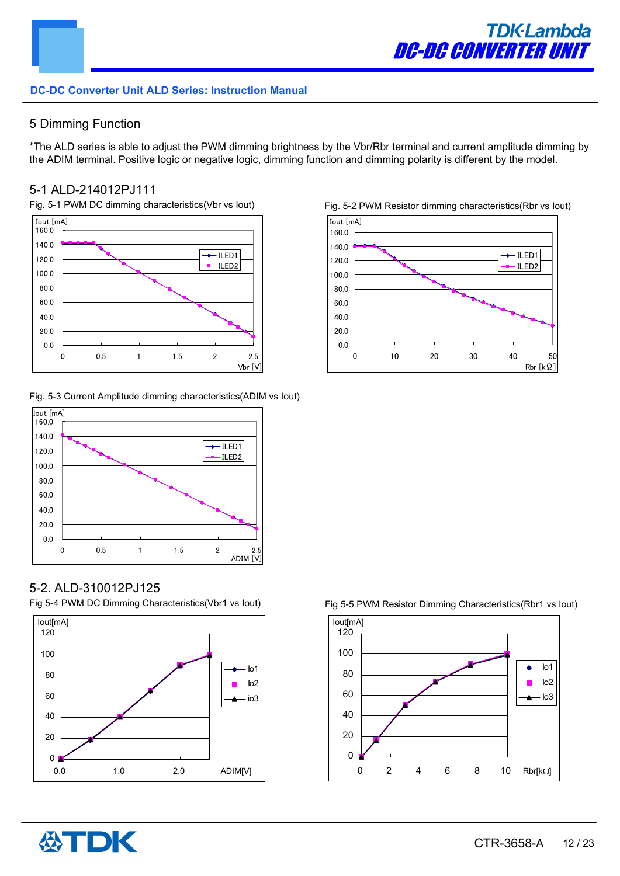# 5 Dimming Function

\*The ALD series is able to adjust the PWM dimming brightness by the Vbr/Rbr terminal and current amplitude dimming by the ADIM terminal. Positive logic or negative logic, dimming function and dimming polarity is different by the model.

# 5-1 ALD-214012PJ111



Fig. 5-3 Current Amplitude dimming characteristics(ADIM vs Iout)







# 5-2. ALD-310012PJ125

Fig 5-4 PWM DC Dimming Characteristics(Vbr1 vs Iout)





#### Fig 5-5 PWM Resistor Dimming Characteristics(Rbr1 vs Iout)

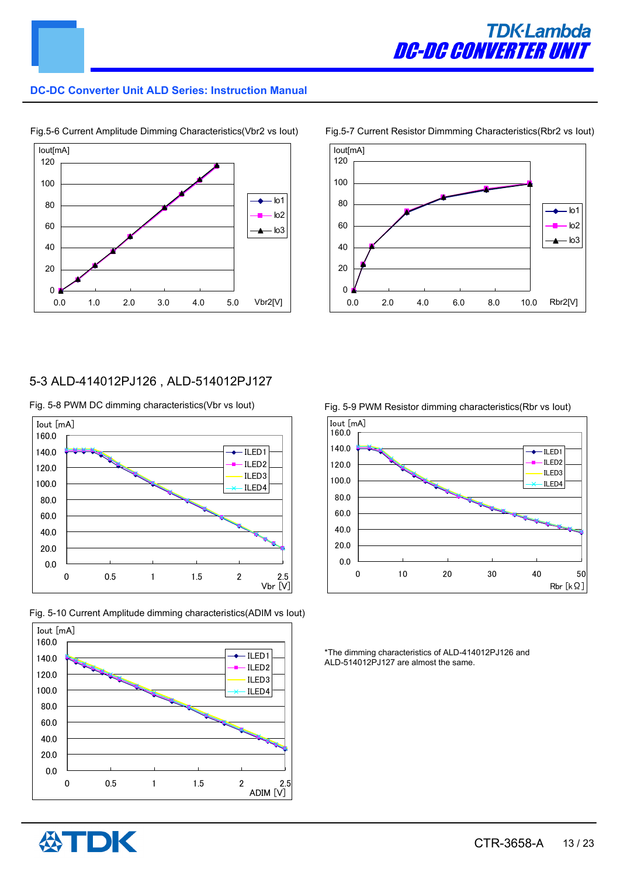



Fig.5-6 Current Amplitude Dimming Characteristics(Vbr2 vs Iout)

#### Fig.5-7 Current Resistor Dimmming Characteristics(Rbr2 vs Iout)



# 5-3 ALD-414012PJ126 , ALD-514012PJ127

Fig. 5-8 PWM DC dimming characteristics(Vbr vs lout) Fig. 5-9 PWM Resistor dimming characteristics(Rbr vs lout)









\*The dimming characteristics of ALD-414012PJ126 and ALD-514012PJ127 are almost the same.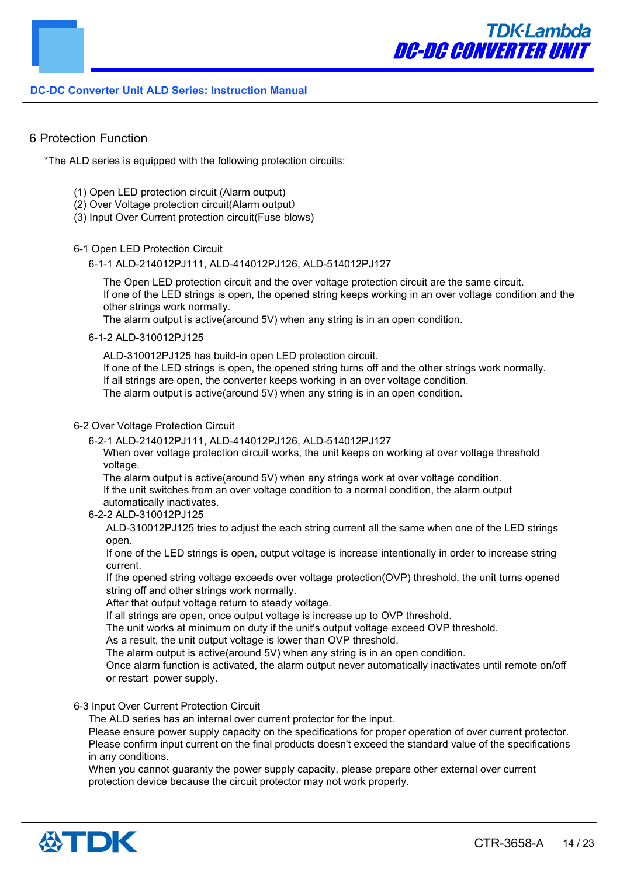

### 6 Protection Function

\*The ALD series is equipped with the following protection circuits:

- (1) Open LED protection circuit (Alarm output)
- (2) Over Voltage protection circuit(Alarm output)
- (3) Input Over Current protection circuit(Fuse blows)

#### 6-1 Open LED Protection Circuit

6-1-1 ALD-214012PJ111, ALD-414012PJ126, ALD-514012PJ127

The Open LED protection circuit and the over voltage protection circuit are the same circuit. If one of the LED strings is open, the opened string keeps working in an over voltage condition and the other strings work normally.

The alarm output is active(around 5V) when any string is in an open condition.

#### 6-1-2 ALD-310012PJ125

ALD-310012PJ125 has build-in open LED protection circuit.

If one of the LED strings is open, the opened string turns off and the other strings work normally. If all strings are open, the converter keeps working in an over voltage condition. The alarm output is active(around 5V) when any string is in an open condition.

#### 6-2 Over Voltage Protection Circuit

6-2-1 ALD-214012PJ111, ALD-414012PJ126, ALD-514012PJ127

When over voltage protection circuit works, the unit keeps on working at over voltage threshold voltage.

The alarm output is active(around 5V) when any strings work at over voltage condition. If the unit switches from an over voltage condition to a normal condition, the alarm output automatically inactivates.

#### 6-2-2 ALD-310012PJ125

ALD-310012PJ125 tries to adjust the each string current all the same when one of the LED strings open.

If one of the LED strings is open, output voltage is increase intentionally in order to increase string current.

If the opened string voltage exceeds over voltage protection(OVP) threshold, the unit turns opened string off and other strings work normally.

After that output voltage return to steady voltage.

If all strings are open, once output voltage is increase up to OVP threshold.

The unit works at minimum on duty if the unit's output voltage exceed OVP threshold.

As a result, the unit output voltage is lower than OVP threshold.

The alarm output is active(around 5V) when any string is in an open condition.

Once alarm function is activated, the alarm output never automatically inactivates until remote on/off or restart power supply.

#### 6-3 Input Over Current Protection Circuit

The ALD series has an internal over current protector for the input.

Please ensure power supply capacity on the specifications for proper operation of over current protector. Please confirm input current on the final products doesn't exceed the standard value of the specifications in any conditions.

When you cannot guaranty the power supply capacity, please prepare other external over current protection device because the circuit protector may not work properly.

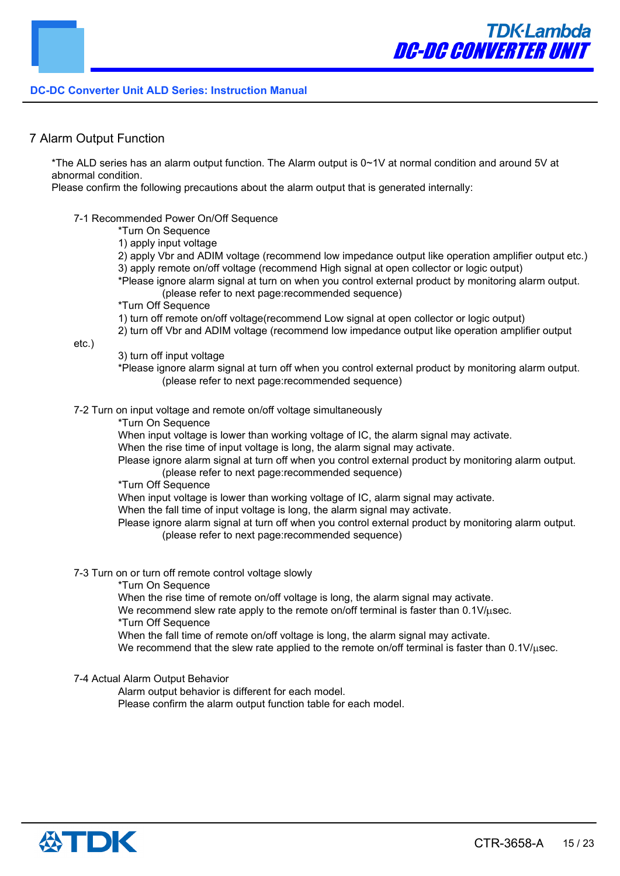# 7 Alarm Output Function

\*The ALD series has an alarm output function. The Alarm output is 0~1V at normal condition and around 5V at abnormal condition.

Please confirm the following precautions about the alarm output that is generated internally:

#### 7-1 Recommended Power On/Off Sequence

\*Turn On Sequence

1) apply input voltage

- 2) apply Vbr and ADIM voltage (recommend low impedance output like operation amplifier output etc.)
- 3) apply remote on/off voltage (recommend High signal at open collector or logic output)

\*Please ignore alarm signal at turn on when you control external product by monitoring alarm output. (please refer to next page:recommended sequence)

\*Turn Off Sequence

1) turn off remote on/off voltage(recommend Low signal at open collector or logic output)

2) turn off Vbr and ADIM voltage (recommend low impedance output like operation amplifier output

etc.)

3) turn off input voltage

\*Please ignore alarm signal at turn off when you control external product by monitoring alarm output. (please refer to next page:recommended sequence)

7-2 Turn on input voltage and remote on/off voltage simultaneously

\*Turn On Sequence

When input voltage is lower than working voltage of IC, the alarm signal may activate.

When the rise time of input voltage is long, the alarm signal may activate.

Please ignore alarm signal at turn off when you control external product by monitoring alarm output. (please refer to next page:recommended sequence)

\*Turn Off Sequence

When input voltage is lower than working voltage of IC, alarm signal may activate.

When the fall time of input voltage is long, the alarm signal may activate.

Please ignore alarm signal at turn off when you control external product by monitoring alarm output. (please refer to next page:recommended sequence)

- 7-3 Turn on or turn off remote control voltage slowly
	- \*Turn On Sequence

When the rise time of remote on/off voltage is long, the alarm signal may activate.

We recommend slew rate apply to the remote on/off terminal is faster than  $0.1 \text{V}/\text{\mu}$ sec.

\*Turn Off Sequence

When the fall time of remote on/off voltage is long, the alarm signal may activate.

We recommend that the slew rate applied to the remote on/off terminal is faster than  $0.1 \text{V}/\text{usec}$ .

7-4 Actual Alarm Output Behavior

Alarm output behavior is different for each model.

Please confirm the alarm output function table for each model.

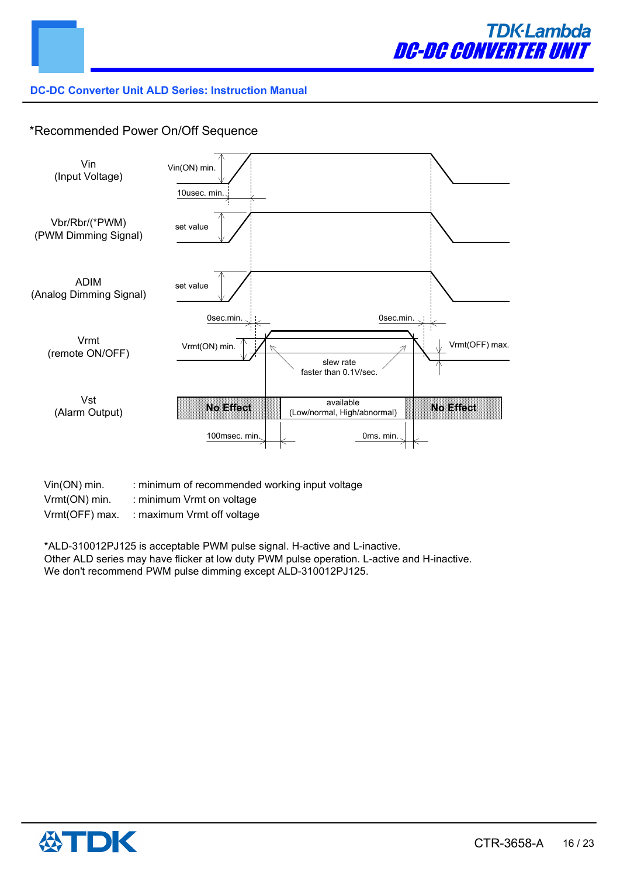

# \*Recommended Power On/Off Sequence



- Vin(ON) min. : minimum of recommended working input voltage
- Vrmt(ON) min. : minimum Vrmt on voltage
- Vrmt(OFF) max. : maximum Vrmt off voltage

\*ALD-310012PJ125 is acceptable PWM pulse signal. H-active and L-inactive. Other ALD series may have flicker at low duty PWM pulse operation. L-active and H-inactive. We don't recommend PWM pulse dimming except ALD-310012PJ125.

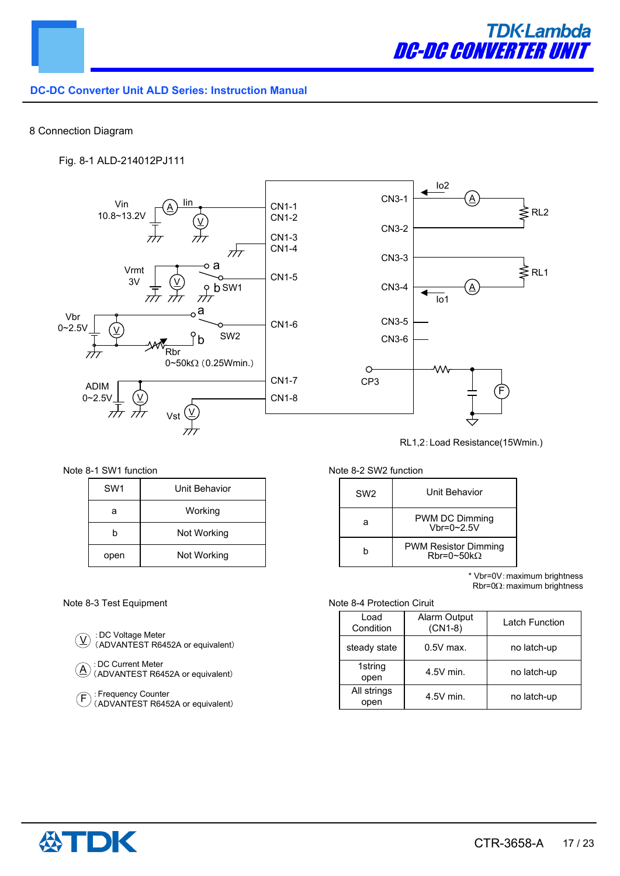

#### 8 Connection Diagram

#### Fig. 8-1 ALD-214012PJ111



RL1,2:Load Resistance(15Wmin.)

Note 8-1 SW1 function Note 8-2 SW2 function

| SW <sub>1</sub> | Unit Behavior |  |
|-----------------|---------------|--|
| а               | Working       |  |
| h               | Not Working   |  |
| open            | Not Working   |  |

#### Note 8-3 Test Equipment Note 8-4 Protection Ciruit

:DC Voltage Meter (ADVANTEST R6452A or equivalent)  $(\overline{\Lambda})$ 

> :DC Current Meter (ADVANTEST R6452A or equivalent)

: Frequency Counter (ADVANTEST R6452A or equivalent)  $(\mathsf{F}% _{\mathbb{Z}}^{\mathbb{Z}}(\mathbb{Z})\times\mathbb{Z})=\mathbb{Z}^{\mathbb{Z}}(\mathbb{Z}^{2}% )$ 

| SW <sub>2</sub> | Unit Behavior                                    |
|-----------------|--------------------------------------------------|
|                 | PWM DC Dimming<br>$Vbr = 0~2.5V$                 |
|                 | <b>PWM Resistor Dimming</b><br>$Rbr=0~50k\Omega$ |

\* Vbr=0V:maximum brightness  $Rbr = 0\Omega$ : maximum brightness

| Load<br>Condition   | <b>Alarm Output</b><br>$(CN1-8)$ | Latch Function |
|---------------------|----------------------------------|----------------|
| steady state        | $0.5V$ max.                      | no latch-up    |
| 1string<br>open     | $4.5V$ min.                      | no latch-up    |
| All strings<br>open | $4.5V$ min.                      | no latch-up    |



 $(\underline{A})$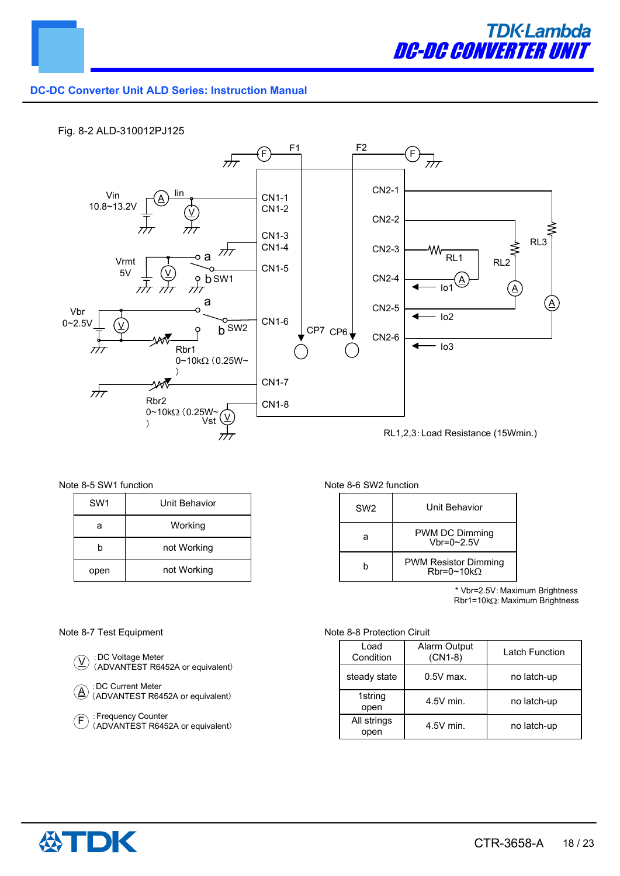

#### Fig. 8-2 ALD-310012PJ125



#### Note 8-5 SW1 function Note 8-6 SW2 function

| SW <sub>1</sub> | Unit Behavior |
|-----------------|---------------|
| а               | Working       |
| h               | not Working   |
| open            | not Working   |

| SW <sub>2</sub> | Unit Behavior                                            |
|-----------------|----------------------------------------------------------|
|                 | PWM DC Dimming<br>$Vhr=0~2.5V$                           |
|                 | <b>PWM Resistor Dimming</b><br>$Rbr = 0 \sim 10 k\Omega$ |

\* Vbr=2.5V:Maximum Brightness  $Rbr1=10k\Omega$ : Maximum Brightness

#### Note 8-7 Test Equipment Note 8-8 Protection Ciruit

| $\mathcal{D}$ : DC Voltage Meter<br>$\mathcal{D}$ (ADVANTEST R6452A or equivalent) |
|------------------------------------------------------------------------------------|
|                                                                                    |

:DC Current Meter (ADVANTEST R6452A or equivalent)  $(\underline{\mathsf{A}})$ 

:Frequency Counter (ADVANTEST R6452A or equivalent)  $(F)$ 

| Load<br>Condition   | Alarm Output<br>$(CN1-8)$ | Latch Function |
|---------------------|---------------------------|----------------|
| steady state        | $0.5V$ max.               | no latch-up    |
| 1string<br>open     | $4.5V$ min.               | no latch-up    |
| All strings<br>open | $4.5V$ min.               | no latch-up    |

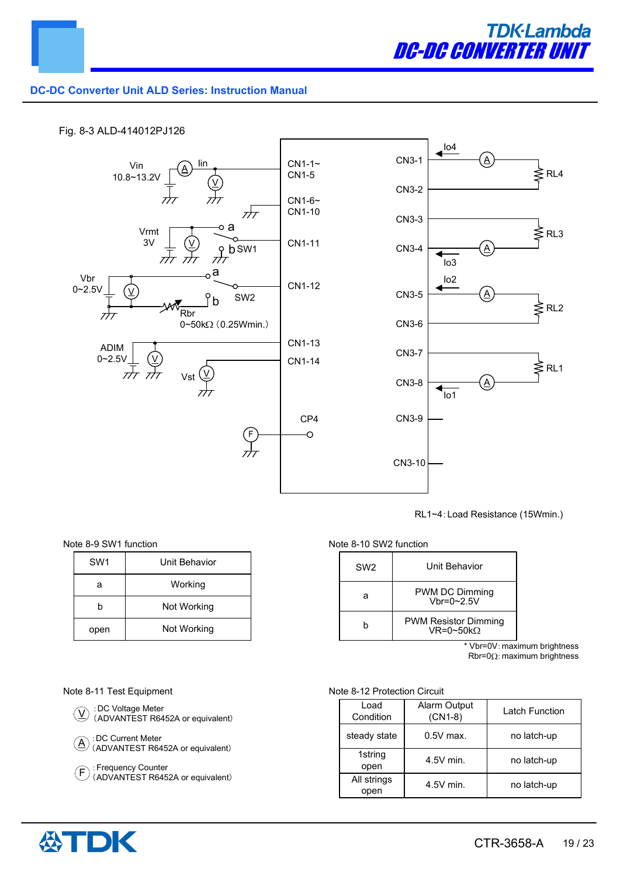

#### Fig. 8-3 ALD-414012PJ126



RL1~4:Load Resistance (15Wmin.)

#### Note 8-9 SW1 function

| SW <sub>1</sub> | Unit Behavior |  |
|-----------------|---------------|--|
| а               | Working       |  |
| h               | Not Working   |  |
| open            | Not Working   |  |

#### Note 8-10 SW2 function

| SW <sub>2</sub> | Unit Behavior                                           |
|-----------------|---------------------------------------------------------|
| а               | PWM DC Dimming<br>$Vhr=0~2.5V$                          |
| h               | <b>PWM Resistor Dimming</b><br>$VR = 0 \sim 50 k\Omega$ |

\* Vbr=0V:maximum brightness  $Rbr = 0\Omega$ : maximum brightness

#### Note 8-11 Test Equipment



:Frequency Counter (ADVANTEST R6452A or equivalent)

#### Note 8-12 Protection Circuit

| Load<br>Condition   | Alarm Output<br>$(CN1-8)$ | <b>Latch Function</b> |
|---------------------|---------------------------|-----------------------|
| steady state        | $0.5V$ max.               | no latch-up           |
| 1string<br>open     | $4.5V$ min.               | no latch-up           |
| All strings<br>open | $4.5V$ min.               | no latch-up           |



 $(F$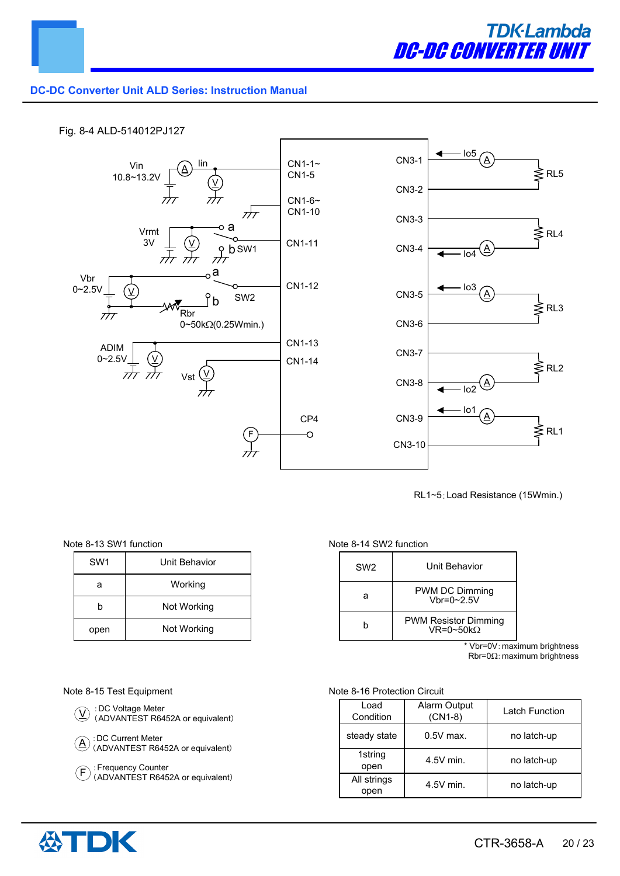

#### Fig. 8-4 ALD-514012PJ127



RL1~5:Load Resistance (15Wmin.)

Note 8-13 SW1 function

| SW <sub>1</sub> | Unit Behavior |  |
|-----------------|---------------|--|
| а               | Working       |  |
| h               | Not Working   |  |
| open            | Not Working   |  |

#### Note 8-14 SW2 function

| SW <sub>2</sub> | Unit Behavior                                           |
|-----------------|---------------------------------------------------------|
| а               | PWM DC Dimming<br>Vhr=0~2.5V                            |
|                 | <b>PWM Resistor Dimming</b><br>$VR = 0 \sim 50 k\Omega$ |

\* Vbr=0V:maximum brightness  $Rbr = 0<sub>Ω</sub>:$  maximum brightness

#### Note 8-15 Test Equipment Note 8-16 Protection Circuit





:Frequency Counter (ADVANTEST R6452A or equivalent)

| Load<br>Condition   | <b>Alarm Output</b><br>$(CN1-8)$ | Latch Function |
|---------------------|----------------------------------|----------------|
| steady state        | $0.5V$ max.                      | no latch-up    |
| 1string<br>open     | $4.5V$ min.                      | no latch-up    |
| All strings<br>open | $4.5V$ min.                      | no latch-up    |



 $(F$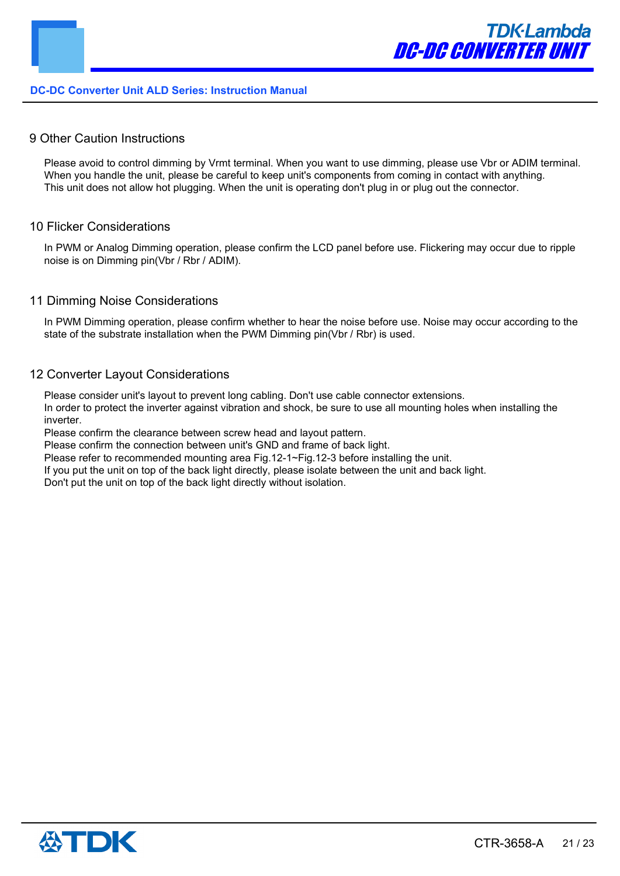#### 9 Other Caution Instructions

Please avoid to control dimming by Vrmt terminal. When you want to use dimming, please use Vbr or ADIM terminal. When you handle the unit, please be careful to keep unit's components from coming in contact with anything. This unit does not allow hot plugging. When the unit is operating don't plug in or plug out the connector.

#### 10 Flicker Considerations

In PWM or Analog Dimming operation, please confirm the LCD panel before use. Flickering may occur due to ripple noise is on Dimming pin(Vbr / Rbr / ADIM).

#### 11 Dimming Noise Considerations

In PWM Dimming operation, please confirm whether to hear the noise before use. Noise may occur according to the state of the substrate installation when the PWM Dimming pin(Vbr / Rbr) is used.

#### 12 Converter Layout Considerations

Please consider unit's layout to prevent long cabling. Don't use cable connector extensions.

In order to protect the inverter against vibration and shock, be sure to use all mounting holes when installing the inverter.

Please confirm the clearance between screw head and layout pattern.

Please confirm the connection between unit's GND and frame of back light.

Please refer to recommended mounting area Fig.12-1~Fig.12-3 before installing the unit.

If you put the unit on top of the back light directly, please isolate between the unit and back light.

Don't put the unit on top of the back light directly without isolation.

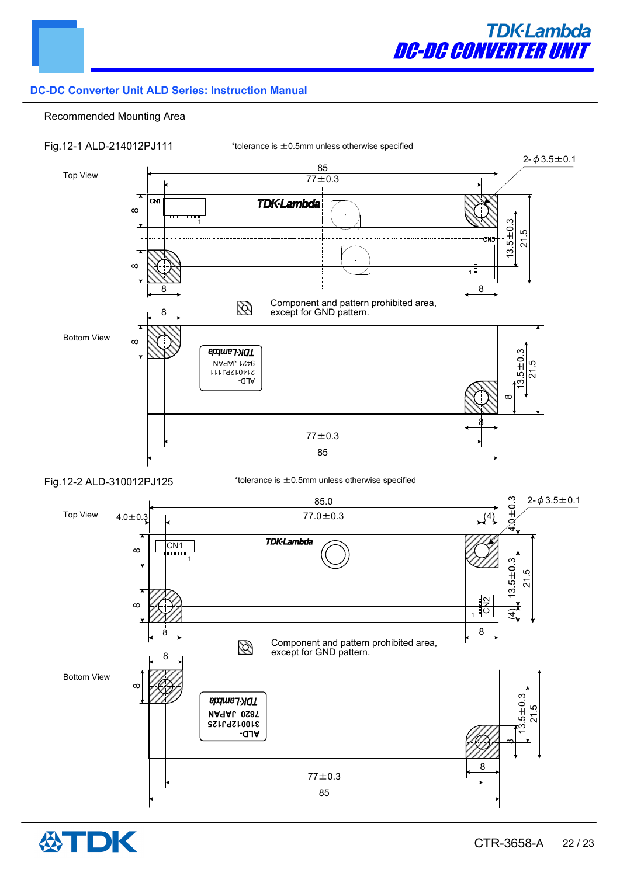

#### Recommended Mounting Area



Fig.12-2 ALD-310012PJ125

\*tolerance is  $\pm$  0.5mm unless otherwise specified